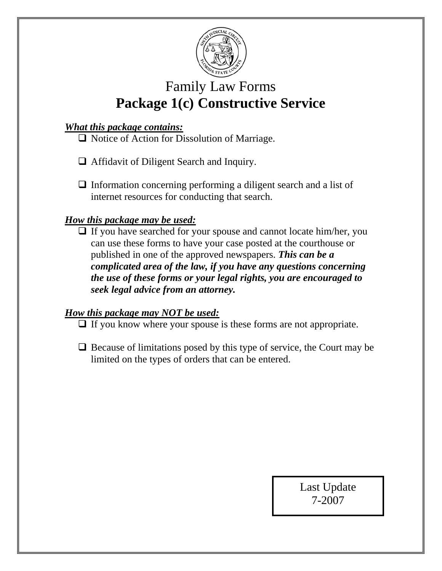

## Family Law Forms **Package 1(c) Constructive Service**

## *What this package contains:*

- $\Box$  Notice of Action for Dissolution of Marriage.
- □ Affidavit of Diligent Search and Inquiry.
- $\Box$  Information concerning performing a diligent search and a list of internet resources for conducting that search.

## *How this package may be used:*

 $\Box$  If you have searched for your spouse and cannot locate him/her, you can use these forms to have your case posted at the courthouse or published in one of the approved newspapers. *This can be a complicated area of the law, if you have any questions concerning the use of these forms or your legal rights, you are encouraged to seek legal advice from an attorney.* 

## *How this package may NOT be used:*

- $\Box$  If you know where your spouse is these forms are not appropriate.
- $\Box$  Because of limitations posed by this type of service, the Court may be limited on the types of orders that can be entered.

Last Update 7-2007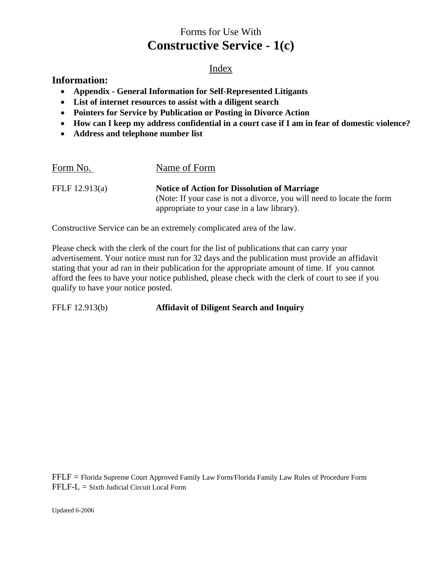## Forms for Use With **Constructive Service - 1(c)**

### Index

### **Information:**

- **Appendix General Information for Self-Represented Litigants**
- **List of internet resources to assist with a diligent search**
- **Pointers for Service by Publication or Posting in Divorce Action**
- **How can I keep my address confidential in a court case if I am in fear of domestic violence?**
- **Address and telephone number list**

| Form No.         | Name of Form                                                           |
|------------------|------------------------------------------------------------------------|
| FFLF $12.913(a)$ | <b>Notice of Action for Dissolution of Marriage</b>                    |
|                  | (Note: If your case is not a divorce, you will need to locate the form |
|                  | appropriate to your case in a law library).                            |

Constructive Service can be an extremely complicated area of the law.

Please check with the clerk of the court for the list of publications that can carry your advertisement. Your notice must run for 32 days and the publication must provide an affidavit stating that your ad ran in their publication for the appropriate amount of time. If you cannot afford the fees to have your notice published, please check with the clerk of court to see if you qualify to have your notice posted.

FFLF 12.913(b) **Affidavit of Diligent Search and Inquiry** 

FFLF = Florida Supreme Court Approved Family Law Form/Florida Family Law Rules of Procedure Form  $FFLF-L = Sixth$  Judicial Circuit Local Form

Updated 6-2006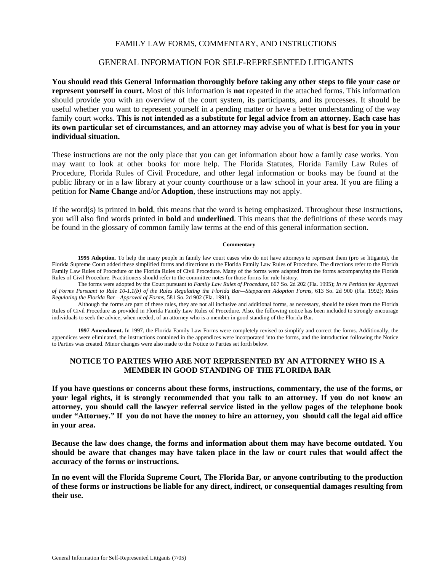#### FAMILY LAW FORMS, COMMENTARY, AND INSTRUCTIONS

#### GENERAL INFORMATION FOR SELF-REPRESENTED LITIGANTS

**You should read this General Information thoroughly before taking any other steps to file your case or represent yourself in court.** Most of this information is **not** repeated in the attached forms. This information should provide you with an overview of the court system, its participants, and its processes. It should be useful whether you want to represent yourself in a pending matter or have a better understanding of the way family court works. **This is not intended as a substitute for legal advice from an attorney. Each case has its own particular set of circumstances, and an attorney may advise you of what is best for you in your individual situation.** 

These instructions are not the only place that you can get information about how a family case works. You may want to look at other books for more help. The Florida Statutes, Florida Family Law Rules of Procedure, Florida Rules of Civil Procedure, and other legal information or books may be found at the public library or in a law library at your county courthouse or a law school in your area. If you are filing a petition for **Name Change** and/or **Adoption**, these instructions may not apply.

If the word(s) is printed in **bold**, this means that the word is being emphasized. Throughout these instructions, you will also find words printed in **bold** and **underlined**. This means that the definitions of these words may be found in the glossary of common family law terms at the end of this general information section.

#### **Commentary**

**1995 Adoption**. To help the many people in family law court cases who do not have attorneys to represent them (pro se litigants), the Florida Supreme Court added these simplified forms and directions to the Florida Family Law Rules of Procedure. The directions refer to the Florida Family Law Rules of Procedure or the Florida Rules of Civil Procedure. Many of the forms were adapted from the forms accompanying the Florida Rules of Civil Procedure. Practitioners should refer to the committee notes for those forms for rule history.

The forms were adopted by the Court pursuant to *Family Law Rules of Procedure,* 667 So. 2d 202 (Fla. 1995); *In re Petition for Approval of Forms Pursuant to Rule 10-1.1(b) of the Rules Regulating the Florida Bar—Stepparent Adoption Forms*, 613 So. 2d 900 (Fla. 1992); *Rules Regulating the Florida Bar—Approval of Forms*, 581 So. 2d 902 (Fla. 1991).

Although the forms are part of these rules, they are not all inclusive and additional forms, as necessary, should be taken from the Florida Rules of Civil Procedure as provided in Florida Family Law Rules of Procedure. Also, the following notice has been included to strongly encourage individuals to seek the advice, when needed, of an attorney who is a member in good standing of the Florida Bar.

**1997 Amendment.** In 1997, the Florida Family Law Forms were completely revised to simplify and correct the forms. Additionally, the appendices were eliminated, the instructions contained in the appendices were incorporated into the forms, and the introduction following the Notice to Parties was created. Minor changes were also made to the Notice to Parties set forth below.

#### **NOTICE TO PARTIES WHO ARE NOT REPRESENTED BY AN ATTORNEY WHO IS A MEMBER IN GOOD STANDING OF THE FLORIDA BAR**

**If you have questions or concerns about these forms, instructions, commentary, the use of the forms, or your legal rights, it is strongly recommended that you talk to an attorney. If you do not know an attorney, you should call the lawyer referral service listed in the yellow pages of the telephone book under "Attorney." If you do not have the money to hire an attorney, you should call the legal aid office in your area.** 

**Because the law does change, the forms and information about them may have become outdated. You should be aware that changes may have taken place in the law or court rules that would affect the accuracy of the forms or instructions.**

**In no event will the Florida Supreme Court, The Florida Bar, or anyone contributing to the production of these forms or instructions be liable for any direct, indirect, or consequential damages resulting from their use.**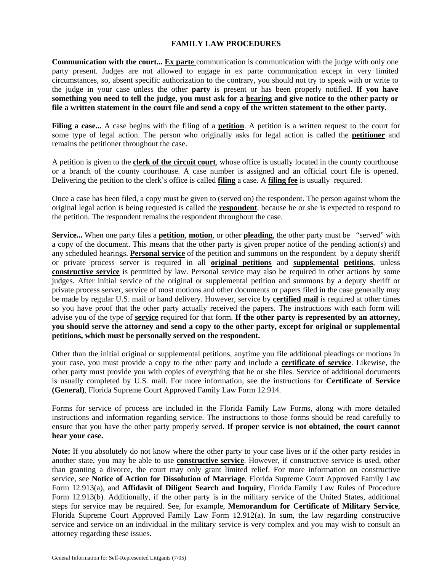#### **FAMILY LAW PROCEDURES**

**Communication with the court... Ex parte** communication is communication with the judge with only one party present. Judges are not allowed to engage in ex parte communication except in very limited circumstances, so, absent specific authorization to the contrary, you should not try to speak with or write to the judge in your case unless the other **party** is present or has been properly notified. **If you have something you need to tell the judge, you must ask for a hearing and give notice to the other party or file a written statement in the court file and send a copy of the written statement to the other party.** 

**Filing a case...** A case begins with the filing of a **petition**. A petition is a written request to the court for some type of legal action. The person who originally asks for legal action is called the **petitioner** and remains the petitioner throughout the case.

A petition is given to the **clerk of the circuit court**, whose office is usually located in the county courthouse or a branch of the county courthouse. A case number is assigned and an official court file is opened. Delivering the petition to the clerk's office is called **filing** a case. A **filing fee** is usually required.

Once a case has been filed, a copy must be given to (served on) the respondent. The person against whom the original legal action is being requested is called the **respondent**, because he or she is expected to respond to the petition. The respondent remains the respondent throughout the case.

**Service...** When one party files a **petition**, **motion**, or other **pleading**, the other party must be "served" with a copy of the document. This means that the other party is given proper notice of the pending action(s) and any scheduled hearings. **Personal service** of the petition and summons on the respondent by a deputy sheriff or private process server is required in all **original petitions** and **supplemental petitions**, unless **constructive service** is permitted by law. Personal service may also be required in other actions by some judges. After initial service of the original or supplemental petition and summons by a deputy sheriff or private process server, service of most motions and other documents or papers filed in the case generally may be made by regular U.S. mail or hand delivery. However, service by **certified mail** is required at other times so you have proof that the other party actually received the papers. The instructions with each form will advise you of the type of **service** required for that form. **If the other party is represented by an attorney, you should serve the attorney and send a copy to the other party, except for original or supplemental petitions, which must be personally served on the respondent.** 

Other than the initial original or supplemental petitions, anytime you file additional pleadings or motions in your case, you must provide a copy to the other party and include a **certificate of service**. Likewise, the other party must provide you with copies of everything that he or she files. Service of additional documents is usually completed by U.S. mail. For more information, see the instructions for **Certificate of Service (General)**, Florida Supreme Court Approved Family Law Form 12.914.

Forms for service of process are included in the Florida Family Law Forms, along with more detailed instructions and information regarding service. The instructions to those forms should be read carefully to ensure that you have the other party properly served. **If proper service is not obtained, the court cannot hear your case.** 

**Note:** If you absolutely do not know where the other party to your case lives or if the other party resides in another state, you may be able to use **constructive service**. However, if constructive service is used, other than granting a divorce, the court may only grant limited relief. For more information on constructive service, see **Notice of Action for Dissolution of Marriage**, Florida Supreme Court Approved Family Law Form 12.913(a), and **Affidavit of Diligent Search and Inquiry**, Florida Family Law Rules of Procedure Form 12.913(b). Additionally, if the other party is in the military service of the United States, additional steps for service may be required. See, for example, **Memorandum for Certificate of Military Service**, Florida Supreme Court Approved Family Law Form 12.912(a). In sum, the law regarding constructive service and service on an individual in the military service is very complex and you may wish to consult an attorney regarding these issues.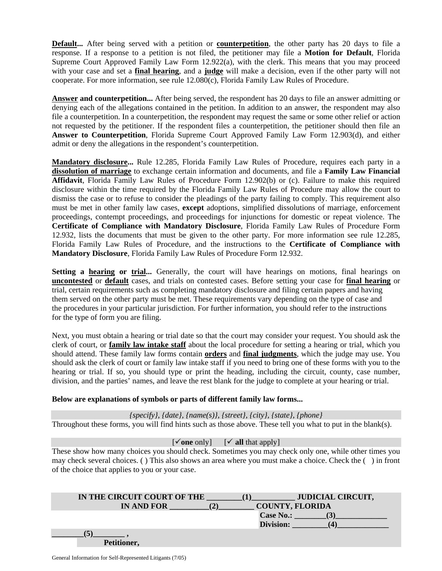**Default...** After being served with a petition or **counterpetition**, the other party has 20 days to file a response. If a response to a petition is not filed, the petitioner may file a **Motion for Default**, Florida Supreme Court Approved Family Law Form 12.922(a), with the clerk. This means that you may proceed with your case and set a **final hearing**, and a **judge** will make a decision, even if the other party will not cooperate. For more information, see rule 12.080(c), Florida Family Law Rules of Procedure.

**Answer and counterpetition...** After being served, the respondent has 20 days to file an answer admitting or denying each of the allegations contained in the petition. In addition to an answer, the respondent may also file a counterpetition. In a counterpetition, the respondent may request the same or some other relief or action not requested by the petitioner. If the respondent files a counterpetition, the petitioner should then file an **Answer to Counterpetition**, Florida Supreme Court Approved Family Law Form 12.903(d), and either admit or deny the allegations in the respondent's counterpetition.

**Mandatory disclosure...** Rule 12.285, Florida Family Law Rules of Procedure, requires each party in a **dissolution of marriage** to exchange certain information and documents, and file a **Family Law Financial Affidavit**, Florida Family Law Rules of Procedure Form 12.902(b) or (c). Failure to make this required disclosure within the time required by the Florida Family Law Rules of Procedure may allow the court to dismiss the case or to refuse to consider the pleadings of the party failing to comply. This requirement also must be met in other family law cases, **except** adoptions, simplified dissolutions of marriage, enforcement proceedings, contempt proceedings, and proceedings for injunctions for domestic or repeat violence. The **Certificate of Compliance with Mandatory Disclosure**, Florida Family Law Rules of Procedure Form 12.932, lists the documents that must be given to the other party. For more information see rule 12.285, Florida Family Law Rules of Procedure, and the instructions to the **Certificate of Compliance with Mandatory Disclosure**, Florida Family Law Rules of Procedure Form 12.932.

**Setting a hearing or trial...** Generally, the court will have hearings on motions, final hearings on **uncontested** or **default** cases, and trials on contested cases. Before setting your case for **final hearing** or trial, certain requirements such as completing mandatory disclosure and filing certain papers and having them served on the other party must be met. These requirements vary depending on the type of case and the procedures in your particular jurisdiction. For further information, you should refer to the instructions for the type of form you are filing.

Next, you must obtain a hearing or trial date so that the court may consider your request. You should ask the clerk of court, or **family law intake staff** about the local procedure for setting a hearing or trial, which you should attend. These family law forms contain **orders** and **final judgments**, which the judge may use. You should ask the clerk of court or family law intake staff if you need to bring one of these forms with you to the hearing or trial. If so, you should type or print the heading, including the circuit, county, case number, division, and the parties' names, and leave the rest blank for the judge to complete at your hearing or trial.

#### **Below are explanations of symbols or parts of different family law forms...**

*{specify}*, *{date}, {name(s)}*, *{street}*, *{city}*, *{state}*, *{phone}* 

Throughout these forms, you will find hints such as those above. These tell you what to put in the blank(s).

 $\lceil \checkmark$  one only  $\lceil \checkmark \rceil$  all that apply These show how many choices you should check. Sometimes you may check only one, while other times you may check several choices. ( ) This also shows an area where you must make a choice. Check the ( ) in front of the choice that applies to you or your case.

| IN THE CIRCUIT COURT OF THE | <b>JUDICIAL CIRCUIT,</b> |
|-----------------------------|--------------------------|
| <b>IN AND FOR</b>           | <b>COUNTY, FLORIDA</b>   |
|                             | <b>Case No.:</b>         |
|                             | Division:                |
|                             |                          |
| <b>Petitioner,</b>          |                          |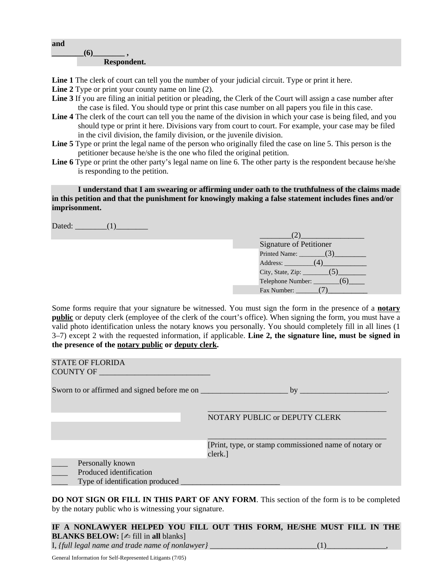**and** 

 $(6)$ 

**Respondent.** 

Line 1 The clerk of court can tell you the number of your judicial circuit. Type or print it here.

- **Line 2** Type or print your county name on line (2).
- Line 3 If you are filing an initial petition or pleading, the Clerk of the Court will assign a case number after the case is filed. You should type or print this case number on all papers you file in this case.
- **Line 4** The clerk of the court can tell you the name of the division in which your case is being filed, and you should type or print it here. Divisions vary from court to court. For example, your case may be filed in the civil division, the family division, or the juvenile division.
- **Line 5** Type or print the legal name of the person who originally filed the case on line 5. This person is the petitioner because he/she is the one who filed the original petition.
- Line 6 Type or print the other party's legal name on line 6. The other party is the respondent because he/she is responding to the petition.

**I understand that I am swearing or affirming under oath to the truthfulness of the claims made in this petition and that the punishment for knowingly making a false statement includes fines and/or imprisonment.** 

Dated:  $(1)$ 

| <b>Signature of Petitioner</b>     |
|------------------------------------|
| Printed Name: $(3)$                |
| Address: $(4)$                     |
| City, State, Zip: $(5)$            |
| Telephone Number: $\qquad$ (6) (6) |
| Fax Number: (7)                    |

Some forms require that your signature be witnessed. You must sign the form in the presence of a **notary public** or deputy clerk (employee of the clerk of the court's office). When signing the form, you must have a valid photo identification unless the notary knows you personally. You should completely fill in all lines (1 3–7) except 2 with the requested information, if applicable. **Line 2, the signature line, must be signed in the presence of the notary public or deputy clerk.** 

| <b>STATE OF FLORIDA</b><br><b>COUNTY OF THE COUNTY OF THE COUNTY OF THE COUNTY OF THE COUNTY OF THE COUNTY OF THE COUNTY OF THE COUNTY OF THE COUNTY OF THE COUNTY OF THE COUNTY OF THE COUNTY OF THE COUNTY OF THE COUNTY OF THE COUNTY OF THE COUNTY OF T</b> |                                                                  |
|-----------------------------------------------------------------------------------------------------------------------------------------------------------------------------------------------------------------------------------------------------------------|------------------------------------------------------------------|
|                                                                                                                                                                                                                                                                 |                                                                  |
|                                                                                                                                                                                                                                                                 | NOTARY PUBLIC or DEPUTY CLERK                                    |
|                                                                                                                                                                                                                                                                 |                                                                  |
|                                                                                                                                                                                                                                                                 | [Print, type, or stamp commissioned name of notary or<br>clerk.] |
| Personally known<br>Produced identification                                                                                                                                                                                                                     |                                                                  |
|                                                                                                                                                                                                                                                                 |                                                                  |

**DO NOT SIGN OR FILL IN THIS PART OF ANY FORM**. This section of the form is to be completed by the notary public who is witnessing your signature.

### **IF A NONLAWYER HELPED YOU FILL OUT THIS FORM, HE/SHE MUST FILL IN THE BLANKS BELOW:**  $[\n\text{\textsterling} \cdot \text{fill}$  in all blanks]

I, *{full legal name and trade name of nonlawyer} \_\_\_\_\_\_\_\_\_\_\_\_\_\_\_\_\_\_\_\_\_\_\_\_\_\_\_*(1)*\_\_\_\_\_\_\_\_\_\_\_\_\_\_\_,* 

General Information for Self-Represented Litigants (7/05)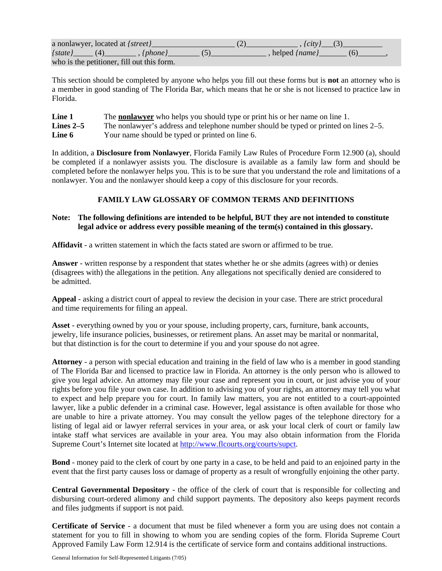| a nonlawyer, located at [street]                | $\left\{CltV\right\}$ (3)               |
|-------------------------------------------------|-----------------------------------------|
| $\{state\}$ (4) $\qquad \qquad , \{phone\}$ (5) | $\qquad \qquad$ , helped $\{name\}$ (6) |
| who is the petitioner, fill out this form.      |                                         |

This section should be completed by anyone who helps you fill out these forms but is **not** an attorney who is a member in good standing of The Florida Bar, which means that he or she is not licensed to practice law in Florida.

| Line 1      | The <b>nonlawyer</b> who helps you should type or print his or her name on line 1.    |
|-------------|---------------------------------------------------------------------------------------|
| Lines $2-5$ | The nonlawyer's address and telephone number should be typed or printed on lines 2–5. |
| Line 6      | Your name should be typed or printed on line 6.                                       |

In addition, a **Disclosure from Nonlawyer**, Florida Family Law Rules of Procedure Form 12.900 (a), should be completed if a nonlawyer assists you. The disclosure is available as a family law form and should be completed before the nonlawyer helps you. This is to be sure that you understand the role and limitations of a nonlawyer. You and the nonlawyer should keep a copy of this disclosure for your records.

#### **FAMILY LAW GLOSSARY OF COMMON TERMS AND DEFINITIONS**

#### **Note: The following definitions are intended to be helpful, BUT they are not intended to constitute legal advice or address every possible meaning of the term(s) contained in this glossary.**

**Affidavit** - a written statement in which the facts stated are sworn or affirmed to be true.

**Answer** - written response by a respondent that states whether he or she admits (agrees with) or denies (disagrees with) the allegations in the petition. Any allegations not specifically denied are considered to be admitted.

**Appeal** - asking a district court of appeal to review the decision in your case. There are strict procedural and time requirements for filing an appeal.

**Asset** - everything owned by you or your spouse, including property, cars, furniture, bank accounts, jewelry, life insurance policies, businesses, or retirement plans. An asset may be marital or nonmarital, but that distinction is for the court to determine if you and your spouse do not agree.

**Attorney** - a person with special education and training in the field of law who is a member in good standing of The Florida Bar and licensed to practice law in Florida. An attorney is the only person who is allowed to give you legal advice. An attorney may file your case and represent you in court, or just advise you of your rights before you file your own case. In addition to advising you of your rights, an attorney may tell you what to expect and help prepare you for court. In family law matters, you are not entitled to a court-appointed lawyer, like a public defender in a criminal case. However, legal assistance is often available for those who are unable to hire a private attorney. You may consult the yellow pages of the telephone directory for a listing of legal aid or lawyer referral services in your area, or ask your local clerk of court or family law intake staff what services are available in your area. You may also obtain information from the Florida Supreme Court's Internet site located at [http://www.flcourts.org/courts/supct.](http://www.flcourts.org/courts/supct)

**Bond** - money paid to the clerk of court by one party in a case, to be held and paid to an enjoined party in the event that the first party causes loss or damage of property as a result of wrongfully enjoining the other party.

**Central Governmental Depository** - the office of the clerk of court that is responsible for collecting and disbursing court-ordered alimony and child support payments. The depository also keeps payment records and files judgments if support is not paid.

**Certificate of Service** - a document that must be filed whenever a form you are using does not contain a statement for you to fill in showing to whom you are sending copies of the form. Florida Supreme Court Approved Family Law Form 12.914 is the certificate of service form and contains additional instructions.

General Information for Self-Represented Litigants (7/05)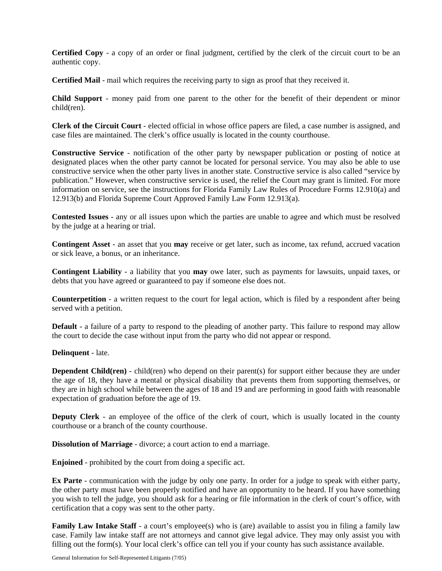**Certified Copy** - a copy of an order or final judgment, certified by the clerk of the circuit court to be an authentic copy.

**Certified Mail** - mail which requires the receiving party to sign as proof that they received it.

**Child Support** - money paid from one parent to the other for the benefit of their dependent or minor child(ren).

**Clerk of the Circuit Court** - elected official in whose office papers are filed, a case number is assigned, and case files are maintained. The clerk's office usually is located in the county courthouse.

**Constructive Service** - notification of the other party by newspaper publication or posting of notice at designated places when the other party cannot be located for personal service. You may also be able to use constructive service when the other party lives in another state. Constructive service is also called "service by publication." However, when constructive service is used, the relief the Court may grant is limited. For more information on service, see the instructions for Florida Family Law Rules of Procedure Forms 12.910(a) and 12.913(b) and Florida Supreme Court Approved Family Law Form 12.913(a).

**Contested Issues** - any or all issues upon which the parties are unable to agree and which must be resolved by the judge at a hearing or trial.

**Contingent Asset** - an asset that you **may** receive or get later, such as income, tax refund, accrued vacation or sick leave, a bonus, or an inheritance.

**Contingent Liability** - a liability that you **may** owe later, such as payments for lawsuits, unpaid taxes, or debts that you have agreed or guaranteed to pay if someone else does not.

**Counterpetition** - a written request to the court for legal action, which is filed by a respondent after being served with a petition.

**Default** - a failure of a party to respond to the pleading of another party. This failure to respond may allow the court to decide the case without input from the party who did not appear or respond.

#### **Delinquent** - late.

**Dependent Child(ren)** - child(ren) who depend on their parent(s) for support either because they are under the age of 18, they have a mental or physical disability that prevents them from supporting themselves, or they are in high school while between the ages of 18 and 19 and are performing in good faith with reasonable expectation of graduation before the age of 19.

**Deputy Clerk** - an employee of the office of the clerk of court, which is usually located in the county courthouse or a branch of the county courthouse.

**Dissolution of Marriage** - divorce; a court action to end a marriage.

**Enjoined** - prohibited by the court from doing a specific act.

**Ex Parte** - communication with the judge by only one party. In order for a judge to speak with either party, the other party must have been properly notified and have an opportunity to be heard. If you have something you wish to tell the judge, you should ask for a hearing or file information in the clerk of court's office, with certification that a copy was sent to the other party.

**Family Law Intake Staff** - a court's employee(s) who is (are) available to assist you in filing a family law case. Family law intake staff are not attorneys and cannot give legal advice. They may only assist you with filling out the form(s). Your local clerk's office can tell you if your county has such assistance available.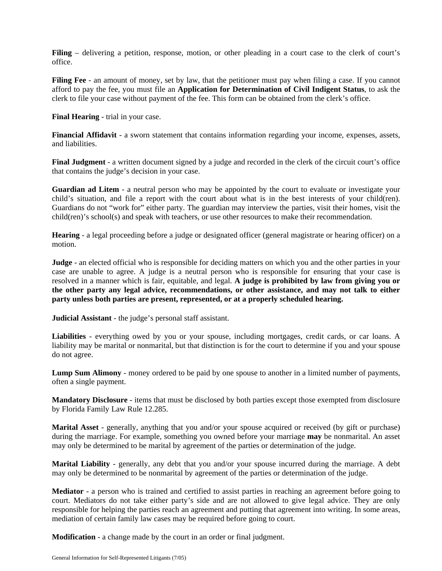**Filing** – delivering a petition, response, motion, or other pleading in a court case to the clerk of court's office.

Filing Fee - an amount of money, set by law, that the petitioner must pay when filing a case. If you cannot afford to pay the fee, you must file an **Application for Determination of Civil Indigent Status**, to ask the clerk to file your case without payment of the fee. This form can be obtained from the clerk's office.

**Final Hearing** - trial in your case.

**Financial Affidavit** - a sworn statement that contains information regarding your income, expenses, assets, and liabilities.

**Final Judgment** - a written document signed by a judge and recorded in the clerk of the circuit court's office that contains the judge's decision in your case.

**Guardian ad Litem** - a neutral person who may be appointed by the court to evaluate or investigate your child's situation, and file a report with the court about what is in the best interests of your child(ren). Guardians do not "work for" either party. The guardian may interview the parties, visit their homes, visit the child(ren)'s school(s) and speak with teachers, or use other resources to make their recommendation.

**Hearing** - a legal proceeding before a judge or designated officer (general magistrate or hearing officer) on a motion.

**Judge** - an elected official who is responsible for deciding matters on which you and the other parties in your case are unable to agree. A judge is a neutral person who is responsible for ensuring that your case is resolved in a manner which is fair, equitable, and legal. **A judge is prohibited by law from giving you or the other party any legal advice, recommendations, or other assistance, and may not talk to either party unless both parties are present, represented, or at a properly scheduled hearing.**

**Judicial Assistant** - the judge's personal staff assistant.

**Liabilities** - everything owed by you or your spouse, including mortgages, credit cards, or car loans. A liability may be marital or nonmarital, but that distinction is for the court to determine if you and your spouse do not agree.

**Lump Sum Alimony** - money ordered to be paid by one spouse to another in a limited number of payments, often a single payment.

**Mandatory Disclosure** - items that must be disclosed by both parties except those exempted from disclosure by Florida Family Law Rule 12.285.

**Marital Asset** - generally, anything that you and/or your spouse acquired or received (by gift or purchase) during the marriage. For example, something you owned before your marriage **may** be nonmarital. An asset may only be determined to be marital by agreement of the parties or determination of the judge.

**Marital Liability** - generally, any debt that you and/or your spouse incurred during the marriage. A debt may only be determined to be nonmarital by agreement of the parties or determination of the judge.

**Mediator** - a person who is trained and certified to assist parties in reaching an agreement before going to court. Mediators do not take either party's side and are not allowed to give legal advice. They are only responsible for helping the parties reach an agreement and putting that agreement into writing. In some areas, mediation of certain family law cases may be required before going to court.

**Modification** - a change made by the court in an order or final judgment.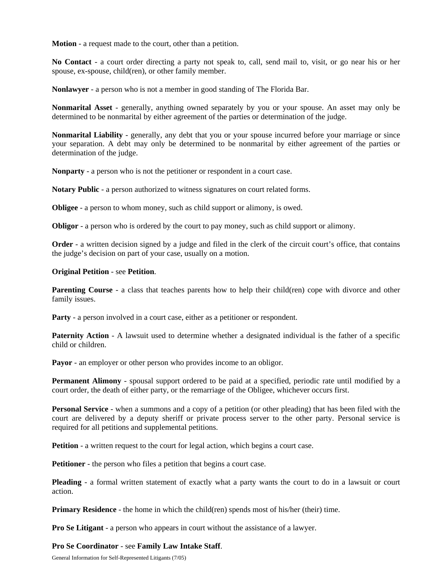**Motion** - a request made to the court, other than a petition.

**No Contact** - a court order directing a party not speak to, call, send mail to, visit, or go near his or her spouse, ex-spouse, child(ren), or other family member.

**Nonlawyer** - a person who is not a member in good standing of The Florida Bar.

**Nonmarital Asset** - generally, anything owned separately by you or your spouse. An asset may only be determined to be nonmarital by either agreement of the parties or determination of the judge.

**Nonmarital Liability** - generally, any debt that you or your spouse incurred before your marriage or since your separation. A debt may only be determined to be nonmarital by either agreement of the parties or determination of the judge.

**Nonparty** - a person who is not the petitioner or respondent in a court case.

**Notary Public** - a person authorized to witness signatures on court related forms.

**Obligee** - a person to whom money, such as child support or alimony, is owed.

**Obligor** - a person who is ordered by the court to pay money, such as child support or alimony.

**Order** - a written decision signed by a judge and filed in the clerk of the circuit court's office, that contains the judge's decision on part of your case, usually on a motion.

#### **Original Petition** - see **Petition**.

**Parenting Course** - a class that teaches parents how to help their child(ren) cope with divorce and other family issues.

Party - a person involved in a court case, either as a petitioner or respondent.

**Paternity Action** - A lawsuit used to determine whether a designated individual is the father of a specific child or children.

**Payor** - an employer or other person who provides income to an obligor.

**Permanent Alimony** - spousal support ordered to be paid at a specified, periodic rate until modified by a court order, the death of either party, or the remarriage of the Obligee, whichever occurs first.

**Personal Service** - when a summons and a copy of a petition (or other pleading) that has been filed with the court are delivered by a deputy sheriff or private process server to the other party. Personal service is required for all petitions and supplemental petitions.

**Petition** - a written request to the court for legal action, which begins a court case.

**Petitioner** - the person who files a petition that begins a court case.

**Pleading** - a formal written statement of exactly what a party wants the court to do in a lawsuit or court action.

**Primary Residence** - the home in which the child(ren) spends most of his/her (their) time.

**Pro Se Litigant** - a person who appears in court without the assistance of a lawyer.

#### **Pro Se Coordinator** - see **Family Law Intake Staff**.

General Information for Self-Represented Litigants (7/05)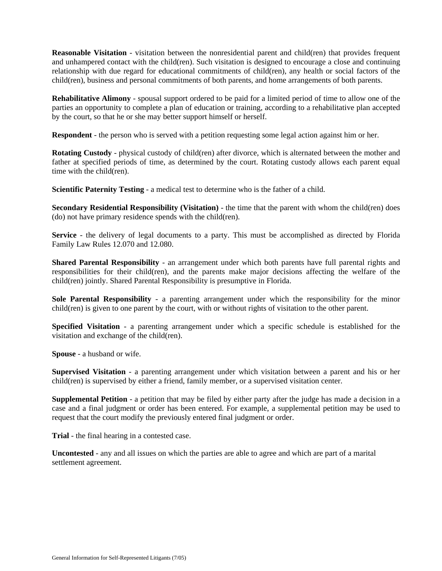**Reasonable Visitation** - visitation between the nonresidential parent and child(ren) that provides frequent and unhampered contact with the child(ren). Such visitation is designed to encourage a close and continuing relationship with due regard for educational commitments of child(ren), any health or social factors of the child(ren), business and personal commitments of both parents, and home arrangements of both parents.

**Rehabilitative Alimony** - spousal support ordered to be paid for a limited period of time to allow one of the parties an opportunity to complete a plan of education or training, according to a rehabilitative plan accepted by the court, so that he or she may better support himself or herself.

**Respondent** - the person who is served with a petition requesting some legal action against him or her.

**Rotating Custody** - physical custody of child(ren) after divorce, which is alternated between the mother and father at specified periods of time, as determined by the court. Rotating custody allows each parent equal time with the child(ren).

**Scientific Paternity Testing** - a medical test to determine who is the father of a child.

**Secondary Residential Responsibility (Visitation)** - the time that the parent with whom the child(ren) does (do) not have primary residence spends with the child(ren).

**Service** - the delivery of legal documents to a party. This must be accomplished as directed by Florida Family Law Rules 12.070 and 12.080.

**Shared Parental Responsibility** - an arrangement under which both parents have full parental rights and responsibilities for their child(ren), and the parents make major decisions affecting the welfare of the child(ren) jointly. Shared Parental Responsibility is presumptive in Florida.

**Sole Parental Responsibility** - a parenting arrangement under which the responsibility for the minor child(ren) is given to one parent by the court, with or without rights of visitation to the other parent.

**Specified Visitation** - a parenting arrangement under which a specific schedule is established for the visitation and exchange of the child(ren).

**Spouse** - a husband or wife.

**Supervised Visitation** - a parenting arrangement under which visitation between a parent and his or her child(ren) is supervised by either a friend, family member, or a supervised visitation center.

**Supplemental Petition** - a petition that may be filed by either party after the judge has made a decision in a case and a final judgment or order has been entered. For example, a supplemental petition may be used to request that the court modify the previously entered final judgment or order.

**Trial** - the final hearing in a contested case.

**Uncontested** - any and all issues on which the parties are able to agree and which are part of a marital settlement agreement.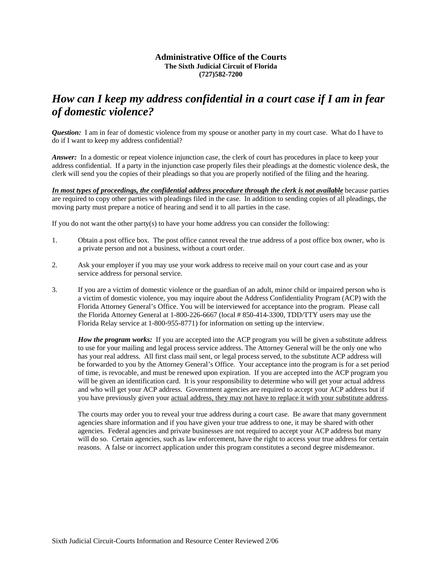#### **Administrative Office of the Courts The Sixth Judicial Circuit of Florida (727)582-7200**

## *How can I keep my address confidential in a court case if I am in fear of domestic violence?*

*Question:* I am in fear of domestic violence from my spouse or another party in my court case. What do I have to do if I want to keep my address confidential?

*Answer:* In a domestic or repeat violence injunction case, the clerk of court has procedures in place to keep your address confidential. If a party in the injunction case properly files their pleadings at the domestic violence desk, the clerk will send you the copies of their pleadings so that you are properly notified of the filing and the hearing.

*In most types of proceedings, the confidential address procedure through the clerk is not available* because parties are required to copy other parties with pleadings filed in the case. In addition to sending copies of all pleadings, the moving party must prepare a notice of hearing and send it to all parties in the case.

If you do not want the other party(s) to have your home address you can consider the following:

- 1. Obtain a post office box. The post office cannot reveal the true address of a post office box owner, who is a private person and not a business, without a court order.
- 2. Ask your employer if you may use your work address to receive mail on your court case and as your service address for personal service.
- 3. If you are a victim of domestic violence or the guardian of an adult, minor child or impaired person who is a victim of domestic violence, you may inquire about the Address Confidentiality Program (ACP) with the Florida Attorney General's Office. You will be interviewed for acceptance into the program. Please call the Florida Attorney General at 1-800-226-6667 (local # 850-414-3300, TDD/TTY users may use the Florida Relay service at 1-800-955-8771) for information on setting up the interview.

*How the program works:* If you are accepted into the ACP program you will be given a substitute address to use for your mailing and legal process service address. The Attorney General will be the only one who has your real address. All first class mail sent, or legal process served, to the substitute ACP address will be forwarded to you by the Attorney General's Office. Your acceptance into the program is for a set period of time, is revocable, and must be renewed upon expiration. If you are accepted into the ACP program you will be given an identification card. It is your responsibility to determine who will get your actual address and who will get your ACP address. Government agencies are required to accept your ACP address but if you have previously given your actual address, they may not have to replace it with your substitute address.

The courts may order you to reveal your true address during a court case. Be aware that many government agencies share information and if you have given your true address to one, it may be shared with other agencies. Federal agencies and private businesses are not required to accept your ACP address but many will do so. Certain agencies, such as law enforcement, have the right to access your true address for certain reasons. A false or incorrect application under this program constitutes a second degree misdemeanor.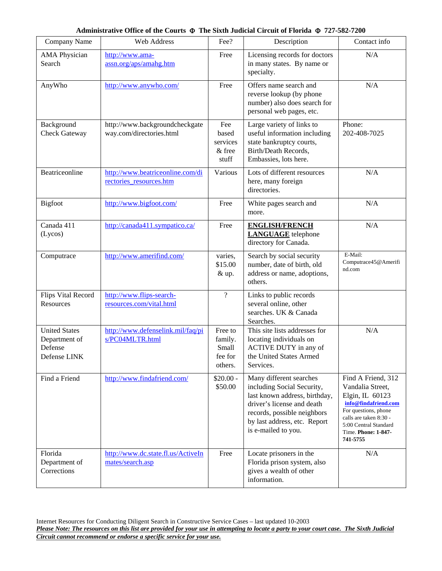|  |  | Administrative Office of the Courts $\Phi$ The Sixth Judicial Circuit of Florida $\Phi$ 727-582-7200 |  |  |
|--|--|------------------------------------------------------------------------------------------------------|--|--|
|--|--|------------------------------------------------------------------------------------------------------|--|--|

| Company Name                                                     | Web Address                                                 | Fee?                                              | Description                                                                                                                                                                                                | Contact info                                                                                                                                                                                    |
|------------------------------------------------------------------|-------------------------------------------------------------|---------------------------------------------------|------------------------------------------------------------------------------------------------------------------------------------------------------------------------------------------------------------|-------------------------------------------------------------------------------------------------------------------------------------------------------------------------------------------------|
| <b>AMA Physician</b><br>Search                                   | http://www.ama-<br>assn.org/aps/amahg.htm                   | Free                                              | Licensing records for doctors<br>in many states. By name or<br>specialty.                                                                                                                                  | N/A                                                                                                                                                                                             |
| AnyWho                                                           | http://www.anywho.com/                                      | Free                                              | Offers name search and<br>reverse lookup (by phone<br>number) also does search for<br>personal web pages, etc.                                                                                             | N/A                                                                                                                                                                                             |
| Background<br><b>Check Gateway</b>                               | http://www.backgroundcheckgate<br>way.com/directories.html  | Fee<br>based<br>services<br>& free<br>stuff       | Large variety of links to<br>useful information including<br>state bankruptcy courts,<br>Birth/Death Records,<br>Embassies, lots here.                                                                     | Phone:<br>202-408-7025                                                                                                                                                                          |
| Beatriceonline                                                   | http://www.beatriceonline.com/di<br>rectories resources.htm | Various                                           | Lots of different resources<br>here, many foreign<br>directories.                                                                                                                                          | N/A                                                                                                                                                                                             |
| <b>Bigfoot</b>                                                   | http://www.bigfoot.com/                                     | Free                                              | White pages search and<br>more.                                                                                                                                                                            | N/A                                                                                                                                                                                             |
| Canada 411<br>(Lycos)                                            | http://canada411.sympatico.ca/                              | Free                                              | <b>ENGLISH/FRENCH</b><br><b>LANGUAGE</b> telephone<br>directory for Canada.                                                                                                                                | N/A                                                                                                                                                                                             |
| Computrace                                                       | http://www.amerifind.com/                                   | varies,<br>\$15.00<br>$&$ up.                     | Search by social security<br>number, date of birth, old<br>address or name, adoptions,<br>others.                                                                                                          | E-Mail:<br>Computrace45@Amerifi<br>nd.com                                                                                                                                                       |
| <b>Flips Vital Record</b><br>Resources                           | http://www.flips-search-<br>resources.com/vital.html        | $\overline{\mathcal{L}}$                          | Links to public records<br>several online, other<br>searches. UK & Canada<br>Searches.                                                                                                                     |                                                                                                                                                                                                 |
| <b>United States</b><br>Department of<br>Defense<br>Defense LINK | http://www.defenselink.mil/faq/pi<br>s/PC04MLTR.html        | Free to<br>family.<br>Small<br>fee for<br>others. | This site lists addresses for<br>locating individuals on<br>ACTIVE DUTY in any of<br>the United States Armed<br>Services.                                                                                  | N/A                                                                                                                                                                                             |
| Find a Friend                                                    | http://www.findafriend.com/                                 | $$20.00 -$<br>\$50.00                             | Many different searches<br>including Social Security,<br>last known address, birthday,<br>driver's license and death<br>records, possible neighbors<br>by last address, etc. Report<br>is e-mailed to you. | Find A Friend, 312<br>Vandalia Street,<br>Elgin, IL 60123<br>info@findafriend.com<br>For questions, phone<br>calls are taken 8:30 -<br>5:00 Central Standard<br>Time. Phone: 1-847-<br>741-5755 |
| Florida<br>Department of<br>Corrections                          | http://www.dc.state.fl.us/ActiveIn<br>mates/search.asp      | Free                                              | Locate prisoners in the<br>Florida prison system, also<br>gives a wealth of other<br>information.                                                                                                          | N/A                                                                                                                                                                                             |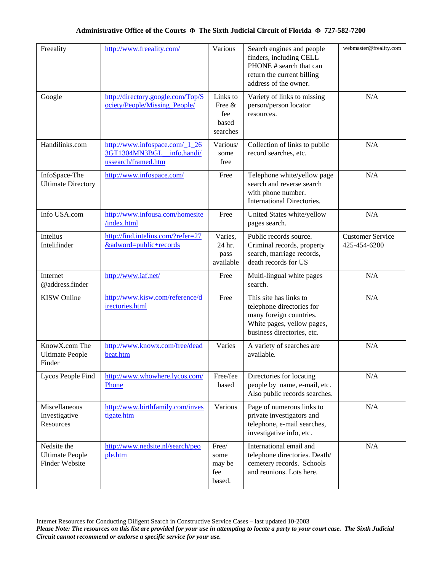| Freeality                                               | http://www.freeality.com/                                                          | Various                                        | Search engines and people<br>finders, including CELL<br>PHONE # search that can<br>return the current billing<br>address of the owner.     | webmaster@freality.com                  |
|---------------------------------------------------------|------------------------------------------------------------------------------------|------------------------------------------------|--------------------------------------------------------------------------------------------------------------------------------------------|-----------------------------------------|
| Google                                                  | http://directory.google.com/Top/S<br>ociety/People/Missing_People/                 | Links to<br>Free &<br>fee<br>based<br>searches | Variety of links to missing<br>person/person locator<br>resources.                                                                         | N/A                                     |
| Handilinks.com                                          | http://www.infospace.com/ 1 26<br>3GT1304MN3BGL info.handi/<br>ussearch/framed.htm | Various/<br>some<br>free                       | Collection of links to public<br>record searches, etc.                                                                                     | N/A                                     |
| InfoSpace-The<br><b>Ultimate Directory</b>              | http://www.infospace.com/                                                          | Free                                           | Telephone white/yellow page<br>search and reverse search<br>with phone number.<br>International Directories.                               | N/A                                     |
| Info USA.com                                            | http://www.infousa.com/homesite<br>/index.html                                     | Free                                           | United States white/yellow<br>pages search.                                                                                                | N/A                                     |
| Intelius<br>Intelifinder                                | http://find.intelius.com/?refer=27<br>&adword=public+records                       | Varies,<br>24 hr.<br>pass<br>available         | Public records source.<br>Criminal records, property<br>search, marriage records,<br>death records for US                                  | <b>Customer Service</b><br>425-454-6200 |
| Internet<br>@address.finder                             | http://www.iaf.net/                                                                | Free                                           | Multi-lingual white pages<br>search.                                                                                                       | N/A                                     |
| <b>KISW</b> Online                                      | http://www.kisw.com/reference/d<br>irectories.html                                 | Free                                           | This site has links to<br>telephone directories for<br>many foreign countries.<br>White pages, yellow pages,<br>business directories, etc. | N/A                                     |
| KnowX.com The<br><b>Ultimate People</b><br>Finder       | http://www.knowx.com/free/dead<br>beat.htm                                         | Varies                                         | A variety of searches are<br>available.                                                                                                    | N/A                                     |
| Lycos People Find                                       | http://www.whowhere.lycos.com/<br>Phone                                            | Free/fee<br>based                              | Directories for locating<br>people by name, e-mail, etc.<br>Also public records searches.                                                  | N/A                                     |
| Miscellaneous<br>Investigative<br>Resources             | http://www.birthfamily.com/inves<br>tigate.htm                                     | Various                                        | Page of numerous links to<br>private investigators and<br>telephone, e-mail searches,<br>investigative info, etc.                          | N/A                                     |
| Nedsite the<br><b>Ultimate People</b><br>Finder Website | http://www.nedsite.nl/search/peo<br>ple.htm                                        | Free/<br>some<br>may be<br>fee<br>based.       | International email and<br>telephone directories. Death/<br>cemetery records. Schools<br>and reunions. Lots here.                          | N/A                                     |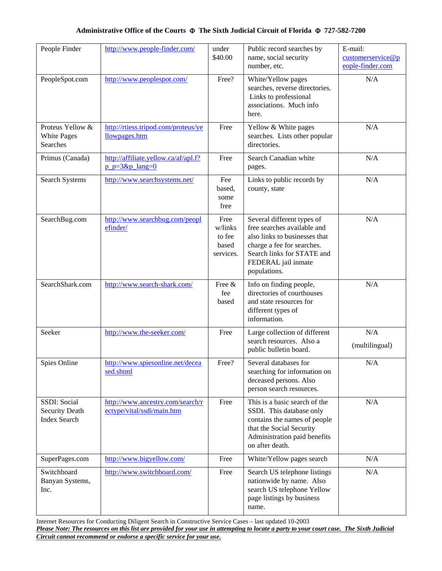| People Finder                                                | http://www.people-finder.com/                                  | under<br>\$40.00                                | Public record searches by<br>name, social security<br>number, etc.                                                                                                                            | E-mail:<br>customerservice@p<br>eople-finder.com |
|--------------------------------------------------------------|----------------------------------------------------------------|-------------------------------------------------|-----------------------------------------------------------------------------------------------------------------------------------------------------------------------------------------------|--------------------------------------------------|
| PeopleSpot.com                                               | http://www.peoplespot.com/                                     | Free?                                           | White/Yellow pages<br>searches, reverse directories.<br>Links to professional<br>associations. Much info<br>here.                                                                             | N/A                                              |
| Proteus Yellow &<br><b>White Pages</b><br>Searches           | http://rtiess.tripod.com/proteus/ye<br>llowpages.htm           | Free                                            | Yellow & White pages<br>searches. Lists other popular<br>directories.                                                                                                                         | N/A                                              |
| Primus (Canada)                                              | http://affiliate.yellow.ca/af/apl.f?<br>$p p=3&p$ lang=0       | Free                                            | Search Canadian white<br>pages.                                                                                                                                                               | N/A                                              |
| Search Systems                                               | http://www.searchsystems.net/                                  | Fee<br>based,<br>some<br>free                   | Links to public records by<br>county, state                                                                                                                                                   | N/A                                              |
| SearchBug.com                                                | http://www.searchbug.com/peopl<br>efinder/                     | Free<br>w/links<br>to fee<br>based<br>services. | Several different types of<br>free searches available and<br>also links to businesses that<br>charge a fee for searches.<br>Search links for STATE and<br>FEDERAL jail inmate<br>populations. | N/A                                              |
| SearchShark.com                                              | http://www.search-shark.com/                                   | Free &<br>fee<br>based                          | Info on finding people,<br>directories of courthouses<br>and state resources for<br>different types of<br>information.                                                                        | N/A                                              |
| Seeker                                                       | http://www.the-seeker.com/                                     | Free                                            | Large collection of different<br>search resources. Also a<br>public bulletin board.                                                                                                           | N/A<br>(multilingual)                            |
| Spies Online                                                 | http://www.spiesonline.net/decea<br>sed.shtml                  | Free?                                           | Several databases for<br>searching for information on<br>deceased persons. Also<br>person search resources.                                                                                   | N/A                                              |
| SSDI: Social<br><b>Security Death</b><br><b>Index Search</b> | http://www.ancestry.com/search/r<br>ectype/vital/ssdi/main.htm | Free                                            | This is a basic search of the<br>SSDI. This database only<br>contains the names of people<br>that the Social Security<br>Administration paid benefits<br>on after death.                      | N/A                                              |
| SuperPages.com                                               | http://www.bigyellow.com/                                      | Free                                            | White/Yellow pages search                                                                                                                                                                     | N/A                                              |
| Switchboard<br>Banyan Systems,<br>Inc.                       | http://www.switchboard.com/                                    | Free                                            | Search US telephone listings<br>nationwide by name. Also<br>search US telephone Yellow<br>page listings by business<br>name.                                                                  | N/A                                              |

Internet Resources for Conducting Diligent Search in Constructive Service Cases – last updated 10-2003 *Please Note: The resources on this list are provided for your use in attempting to locate a party to your court case. The Sixth Judicial Circuit cannot recommend or endorse a specific service for your use.*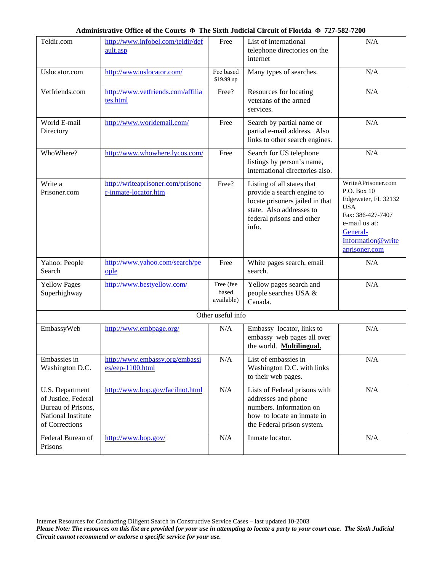| Administrative Office of the Courts �� The Sixth Judicial Circuit of Florida �� 727-582-7200 |  |  |  |  |  |
|----------------------------------------------------------------------------------------------|--|--|--|--|--|
|----------------------------------------------------------------------------------------------|--|--|--|--|--|

| Teldir.com                                                                                           | http://www.infobel.com/teldir/def<br>ault.asp             | Free                             | List of international<br>telephone directories on the<br>internet                                                                                             | N/A                                                                                                                                                            |
|------------------------------------------------------------------------------------------------------|-----------------------------------------------------------|----------------------------------|---------------------------------------------------------------------------------------------------------------------------------------------------------------|----------------------------------------------------------------------------------------------------------------------------------------------------------------|
| Uslocator.com                                                                                        | http://www.uslocator.com/                                 | Fee based<br>\$19.99 up          | Many types of searches.                                                                                                                                       | N/A                                                                                                                                                            |
| Vetfriends.com                                                                                       | http://www.vetfriends.com/affilia<br>tes.html             | Free?                            | Resources for locating<br>veterans of the armed<br>services.                                                                                                  | N/A                                                                                                                                                            |
| World E-mail<br>Directory                                                                            | http://www.worldemail.com/                                | Free                             | Search by partial name or<br>partial e-mail address. Also<br>links to other search engines.                                                                   | N/A                                                                                                                                                            |
| WhoWhere?                                                                                            | http://www.whowhere.lycos.com/                            | Free                             | Search for US telephone<br>listings by person's name,<br>international directories also.                                                                      | N/A                                                                                                                                                            |
| Write a<br>Prisoner.com                                                                              | http://writeaprisoner.com/prisone<br>r-inmate-locator.htm | Free?                            | Listing of all states that<br>provide a search engine to<br>locate prisoners jailed in that<br>state. Also addresses to<br>federal prisons and other<br>info. | WriteAPrisoner.com<br>P.O. Box 10<br>Edgewater, FL 32132<br><b>USA</b><br>Fax: 386-427-7407<br>e-mail us at:<br>General-<br>Information@write<br>aprisoner.com |
| Yahoo: People<br>Search                                                                              | http://www.yahoo.com/search/pe<br>ople                    | Free                             | White pages search, email<br>search.                                                                                                                          | N/A                                                                                                                                                            |
| <b>Yellow Pages</b><br>Superhighway                                                                  | http://www.bestyellow.com/                                | Free (fee<br>based<br>available) | Yellow pages search and<br>people searches USA $\&$<br>Canada.                                                                                                | N/A                                                                                                                                                            |
|                                                                                                      |                                                           | Other useful info                |                                                                                                                                                               |                                                                                                                                                                |
| EmbassyWeb                                                                                           | http://www.embpage.org/                                   | N/A                              | Embassy locator, links to<br>embassy web pages all over<br>the world. Multilingual.                                                                           | N/A                                                                                                                                                            |
| Embassies in<br>Washington D.C.                                                                      | http://www.embassy.org/embassi<br>$es/eep-1100.html$      | N/A                              | List of embassies in<br>Washington D.C. with links<br>to their web pages.                                                                                     | N/A                                                                                                                                                            |
| U.S. Department<br>of Justice, Federal<br>Bureau of Prisons,<br>National Institute<br>of Corrections | http://www.bop.gov/facilnot.html                          | N/A                              | Lists of Federal prisons with<br>addresses and phone<br>numbers. Information on<br>how to locate an inmate in<br>the Federal prison system.                   | N/A                                                                                                                                                            |
| Federal Bureau of<br>Prisons                                                                         | http://www.bop.gov/                                       | N/A                              | Inmate locator.                                                                                                                                               | $\rm N/A$                                                                                                                                                      |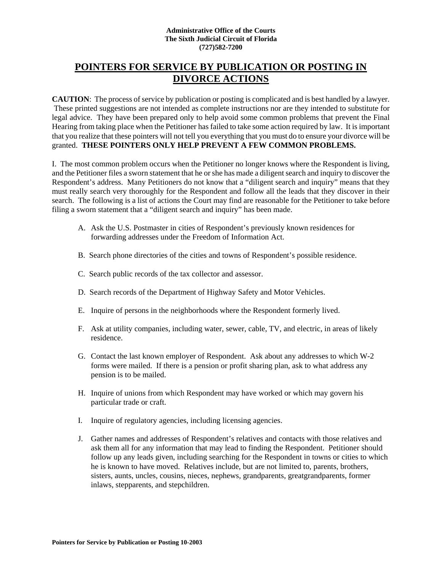## **POINTERS FOR SERVICE BY PUBLICATION OR POSTING IN DIVORCE ACTIONS**

**CAUTION**: The process of service by publication or posting is complicated and is best handled by a lawyer. These printed suggestions are not intended as complete instructions nor are they intended to substitute for legal advice. They have been prepared only to help avoid some common problems that prevent the Final Hearing from taking place when the Petitioner has failed to take some action required by law. It is important that you realize that these pointers will not tell you everything that you must do to ensure your divorce will be granted. **THESE POINTERS ONLY HELP PREVENT A FEW COMMON PROBLEMS.** 

I. The most common problem occurs when the Petitioner no longer knows where the Respondent is living, and the Petitioner files a sworn statement that he or she has made a diligent search and inquiry to discover the Respondent's address. Many Petitioners do not know that a "diligent search and inquiry" means that they must really search very thoroughly for the Respondent and follow all the leads that they discover in their search. The following is a list of actions the Court may find are reasonable for the Petitioner to take before filing a sworn statement that a "diligent search and inquiry" has been made.

- A. Ask the U.S. Postmaster in cities of Respondent's previously known residences for forwarding addresses under the Freedom of Information Act.
- B. Search phone directories of the cities and towns of Respondent's possible residence.
- C. Search public records of the tax collector and assessor.
- D. Search records of the Department of Highway Safety and Motor Vehicles.
- E. Inquire of persons in the neighborhoods where the Respondent formerly lived.
- F. Ask at utility companies, including water, sewer, cable, TV, and electric, in areas of likely residence.
- G. Contact the last known employer of Respondent. Ask about any addresses to which W-2 forms were mailed. If there is a pension or profit sharing plan, ask to what address any pension is to be mailed.
- H. Inquire of unions from which Respondent may have worked or which may govern his particular trade or craft.
- I. Inquire of regulatory agencies, including licensing agencies.
- J. Gather names and addresses of Respondent's relatives and contacts with those relatives and ask them all for any information that may lead to finding the Respondent. Petitioner should follow up any leads given, including searching for the Respondent in towns or cities to which he is known to have moved. Relatives include, but are not limited to, parents, brothers, sisters, aunts, uncles, cousins, nieces, nephews, grandparents, greatgrandparents, former inlaws, stepparents, and stepchildren.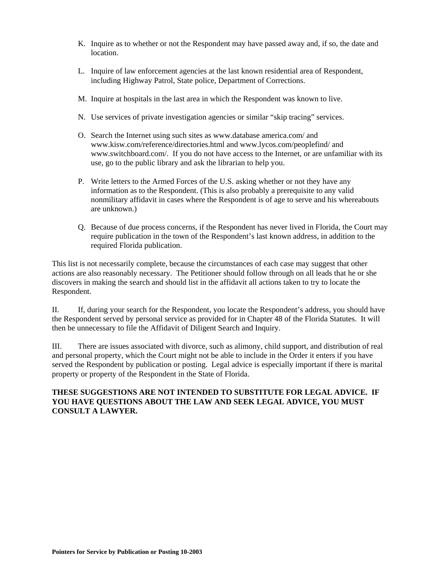- K. Inquire as to whether or not the Respondent may have passed away and, if so, the date and location.
- L. Inquire of law enforcement agencies at the last known residential area of Respondent, including Highway Patrol, State police, Department of Corrections.
- M. Inquire at hospitals in the last area in which the Respondent was known to live.
- N. Use services of private investigation agencies or similar "skip tracing" services.
- O. Search the Internet using such sites as www.database america.com/ and www.kisw.com/reference/directories.html and www.lycos.com/peoplefind/ and www.switchboard.com/. If you do not have access to the Internet, or are unfamiliar with its use, go to the public library and ask the librarian to help you.
- P. Write letters to the Armed Forces of the U.S. asking whether or not they have any information as to the Respondent. (This is also probably a prerequisite to any valid nonmilitary affidavit in cases where the Respondent is of age to serve and his whereabouts are unknown.)
- Q. Because of due process concerns, if the Respondent has never lived in Florida, the Court may require publication in the town of the Respondent's last known address, in addition to the required Florida publication.

This list is not necessarily complete, because the circumstances of each case may suggest that other actions are also reasonably necessary. The Petitioner should follow through on all leads that he or she discovers in making the search and should list in the affidavit all actions taken to try to locate the Respondent.

II. If, during your search for the Respondent, you locate the Respondent's address, you should have the Respondent served by personal service as provided for in Chapter 48 of the Florida Statutes. It will then be unnecessary to file the Affidavit of Diligent Search and Inquiry.

III. There are issues associated with divorce, such as alimony, child support, and distribution of real and personal property, which the Court might not be able to include in the Order it enters if you have served the Respondent by publication or posting. Legal advice is especially important if there is marital property or property of the Respondent in the State of Florida.

#### **THESE SUGGESTIONS ARE NOT INTENDED TO SUBSTITUTE FOR LEGAL ADVICE. IF YOU HAVE QUESTIONS ABOUT THE LAW AND SEEK LEGAL ADVICE, YOU MUST CONSULT A LAWYER.**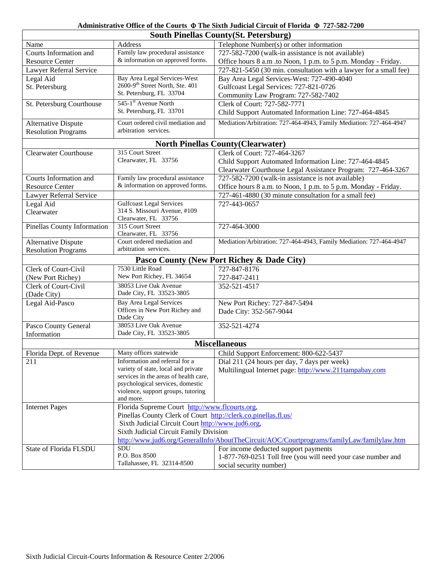#### **Administrative Office of the Courts** Φ **The Sixth Judicial Circuit of Florida** Φ **727-582-7200 South Pinellas County(St. Petersburg)**

 $\mathsf{r}$ 

|                              | South Pinelias County(St. Petersburg)                            |                                                                                           |
|------------------------------|------------------------------------------------------------------|-------------------------------------------------------------------------------------------|
| Name                         | Address                                                          | Telephone Number(s) or other information                                                  |
| Courts Information and       | Family law procedural assistance                                 | 727-582-7200 (walk-in assistance is not available)                                        |
| <b>Resource Center</b>       | & information on approved forms.                                 | Office hours 8 a.m .to Noon, 1 p.m. to 5 p.m. Monday - Friday.                            |
| Lawyer Referral Service      |                                                                  | 727-821-5450 (30 min. consultation with a lawyer for a small fee)                         |
| Legal Aid                    | <b>Bay Area Legal Services-West</b>                              | Bay Area Legal Services-West: 727-490-4040                                                |
| St. Petersburg               | 2600-9 <sup>th</sup> Street North, Ste. 401                      | Gulfcoast Legal Services: 727-821-0726                                                    |
|                              | St. Petersburg, FL 33704                                         | Community Law Program: 727-582-7402                                                       |
| St. Petersburg Courthouse    | 545-1 <sup>st</sup> Avenue North                                 | Clerk of Court: 727-582-7771                                                              |
|                              | St. Petersburg, FL 33701                                         | Child Support Automated Information Line: 727-464-4845                                    |
| <b>Alternative Dispute</b>   | Court ordered civil mediation and                                | Mediation/Arbitration: 727-464-4943, Family Mediation: 727-464-4947                       |
| <b>Resolution Programs</b>   | arbitration services.                                            |                                                                                           |
|                              |                                                                  | <b>North Pinellas County (Clearwater)</b>                                                 |
| <b>Clearwater Courthouse</b> | 315 Court Street                                                 | Clerk of Court: 727-464-3267                                                              |
|                              | Clearwater, FL 33756                                             | Child Support Automated Information Line: 727-464-4845                                    |
|                              |                                                                  | Clearwater Courthouse Legal Assistance Program: 727-464-3267                              |
| Courts Information and       | Family law procedural assistance                                 | 727-582-7200 (walk-in assistance is not available)                                        |
| <b>Resource Center</b>       | & information on approved forms.                                 | Office hours 8 a.m. to Noon, 1 p.m. to 5 p.m. Monday - Friday.                            |
| Lawyer Referral Service      |                                                                  | 727-461-4880 (30 minute consultation for a small fee)                                     |
| Legal Aid                    | <b>Gulfcoast Legal Services</b>                                  | 727-443-0657                                                                              |
| Clearwater                   | 314 S. Missouri Avenue, #109                                     |                                                                                           |
|                              | Clearwater, FL 33756                                             |                                                                                           |
| Pinellas County Information  | 315 Court Street<br>Clearwater, FL 33756                         | 727-464-3000                                                                              |
| <b>Alternative Dispute</b>   | Court ordered mediation and                                      | Mediation/Arbitration: 727-464-4943, Family Mediation: 727-464-4947                       |
| <b>Resolution Programs</b>   | arbitration services.                                            |                                                                                           |
|                              |                                                                  | Pasco County (New Port Richey & Dade City)                                                |
|                              | 7530 Little Road                                                 |                                                                                           |
| Clerk of Court-Civil         | New Port Richey, FL 34654                                        | 727-847-8176                                                                              |
| (New Port Richey)            |                                                                  | 727-847-2411                                                                              |
| Clerk of Court-Civil         | 38053 Live Oak Avenue<br>Dade City, FL 33523-3805                | 352-521-4517                                                                              |
| (Dade City)                  |                                                                  |                                                                                           |
| Legal Aid-Pasco              | <b>Bay Area Legal Services</b><br>Offices in New Port Richey and | New Port Richey: 727-847-5494                                                             |
|                              | Dade City                                                        | Dade City: 352-567-9044                                                                   |
| Pasco County General         | 38053 Live Oak Avenue                                            | 352-521-4274                                                                              |
| Information                  | Dade City, FL 33523-3805                                         |                                                                                           |
|                              |                                                                  | <b>Miscellaneous</b>                                                                      |
| Florida Dept. of Revenue     | Many offices statewide                                           | Child Support Enforcement: 800-622-5437                                                   |
| 211                          | Information and referral for a                                   | Dial 211 (24 hours per day, 7 days per week)                                              |
|                              | variety of state, local and private                              |                                                                                           |
|                              |                                                                  |                                                                                           |
|                              | services in the areas of health care,                            | Multilingual Internet page: http://www.211tampabay.com                                    |
|                              | psychological services, domestic                                 |                                                                                           |
|                              | violence, support groups, tutoring                               |                                                                                           |
|                              | and more.                                                        |                                                                                           |
| <b>Internet Pages</b>        | Florida Supreme Court http://www.flcourts.org,                   |                                                                                           |
|                              | Pinellas County Clerk of Court http://clerk.co.pinellas.fl.us/   |                                                                                           |
|                              | Sixth Judicial Circuit Court http://www.jud6.org,                |                                                                                           |
|                              | Sixth Judicial Circuit Family Division                           |                                                                                           |
|                              |                                                                  | http://www.jud6.org/GeneralInfo/AboutTheCircuit/AOC/Courtprograms/familyLaw/familylaw.htm |
| State of Florida FLSDU       | SDU                                                              | For income deducted support payments                                                      |
|                              | P.O. Box 8500<br>Tallahassee, FL 32314-8500                      | 1-877-769-0251 Toll free (you will need your case number and                              |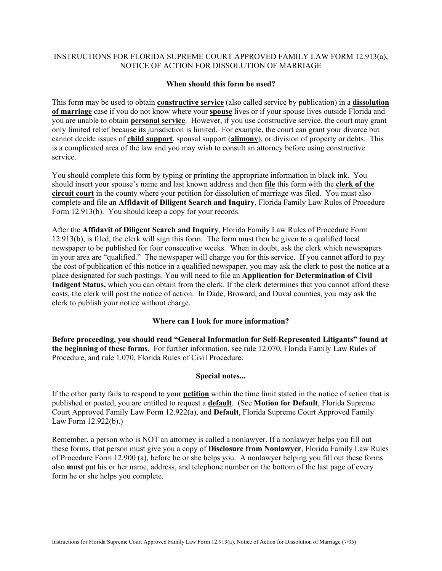#### INSTRUCTIONS FOR FLORIDA SUPREME COURT APPROVED FAMILY LAW FORM 12.913(a), NOTICE OF ACTION FOR DISSOLUTION OF MARRIAGE

#### **When should this form be used?**

This form may be used to obtain **constructive service** (also called service by publication) in a **dissolution of marriage** case if you do not know where your **spouse** lives or if your spouse lives outside Florida and you are unable to obtain **personal service**. However, if you use constructive service, the court may grant only limited relief because its jurisdiction is limited. For example, the court can grant your divorce but cannot decide issues of **child support**, spousal support (**alimony**), or division of property or debts. This is a complicated area of the law and you may wish to consult an attorney before using constructive service.

You should complete this form by typing or printing the appropriate information in black ink. You should insert your spouse's name and last known address and then **file** this form with the **clerk of the circuit court** in the county where your petition for dissolution of marriage was filed. You must also complete and file an **Affidavit of Diligent Search and Inquiry**, Florida Family Law Rules of Procedure Form 12.913(b). You should keep a copy for your records.

After the **Affidavit of Diligent Search and Inquiry**, Florida Family Law Rules of Procedure Form 12.913(b), is filed, the clerk will sign this form. The form must then be given to a qualified local newspaper to be published for four consecutive weeks. When in doubt, ask the clerk which newspapers in your area are "qualified." The newspaper will charge you for this service. If you cannot afford to pay the cost of publication of this notice in a qualified newspaper, you may ask the clerk to post the notice at a place designated for such postings. You will need to file an **Application for Determination of Civil Indigent Status,** which you can obtain from the clerk. If the clerk determines that you cannot afford these costs, the clerk will post the notice of action. In Dade, Broward, and Duval counties, you may ask the clerk to publish your notice without charge.

#### **Where can I look for more information?**

**Before proceeding, you should read "General Information for Self-Represented Litigants" found at the beginning of these forms.** For further information, see rule 12.070, Florida Family Law Rules of Procedure, and rule 1.070, Florida Rules of Civil Procedure.

#### **Special notes...**

If the other party fails to respond to your **petition** within the time limit stated in the notice of action that is published or posted, you are entitled to request a **default**. (See **Motion for Default**, Florida Supreme Court Approved Family Law Form 12.922(a), and **Default**, Florida Supreme Court Approved Family Law Form 12.922(b).)

Remember, a person who is NOT an attorney is called a nonlawyer. If a nonlawyer helps you fill out these forms, that person must give you a copy of **Disclosure from Nonlawyer**, Florida Family Law Rules of Procedure Form 12.900 (a), before he or she helps you. A nonlawyer helping you fill out these forms also **must** put his or her name, address, and telephone number on the bottom of the last page of every form he or she helps you complete.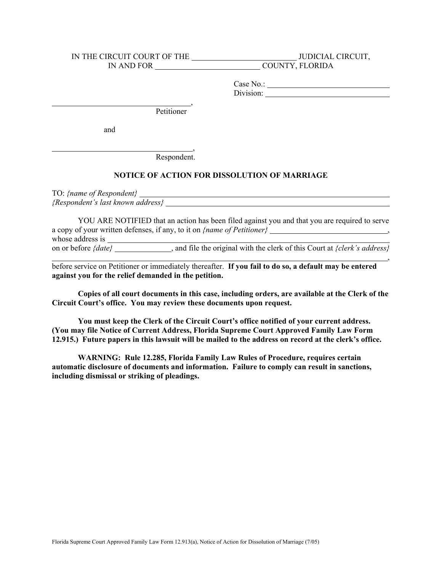## IN THE CIRCUIT COURT OF THE JUDICIAL CIRCUIT,

, where  $\mathcal{L} = \mathcal{L} \left( \mathcal{L} \right)$  , where  $\mathcal{L} \left( \mathcal{L} \right)$ 

IN AND FOR COUNTY, FLORIDA

Case No.: Division:

Petitioner

and

 , Respondent.

#### **NOTICE OF ACTION FOR DISSOLUTION OF MARRIAGE**

TO: *{name of Respondent} {Respondent's last known address}*

 YOU ARE NOTIFIED that an action has been filed against you and that you are required to serve a copy of your written defenses, if any, to it on *{name of Petitioner}* , whose address is  $\frac{1}{2}$ on or before *{date}* , and file the original with the clerk of this Court at *{clerk's address}* , where  $\mathcal{L} = \mathcal{L} \mathcal{L} = \mathcal{L} \mathcal{L} \mathcal{L} = \mathcal{L} \mathcal{L} \mathcal{L} \mathcal{L} \mathcal{L} \mathcal{L} \mathcal{L} \mathcal{L} \mathcal{L} \mathcal{L} \mathcal{L} \mathcal{L} \mathcal{L} \mathcal{L} \mathcal{L} \mathcal{L} \mathcal{L} \mathcal{L} \mathcal{L} \mathcal{L} \mathcal{L} \mathcal{L} \mathcal{L} \mathcal{L} \mathcal{L} \mathcal{L} \mathcal{L} \mathcal{L} \mathcal{L$ 

before service on Petitioner or immediately thereafter. **If you fail to do so, a default may be entered against you for the relief demanded in the petition.**

**Copies of all court documents in this case, including orders, are available at the Clerk of the Circuit Court's office. You may review these documents upon request.** 

 **You must keep the Clerk of the Circuit Court's office notified of your current address. (You may file Notice of Current Address, Florida Supreme Court Approved Family Law Form 12.915.) Future papers in this lawsuit will be mailed to the address on record at the clerk's office.** 

 **WARNING: Rule 12.285, Florida Family Law Rules of Procedure, requires certain automatic disclosure of documents and information. Failure to comply can result in sanctions, including dismissal or striking of pleadings.**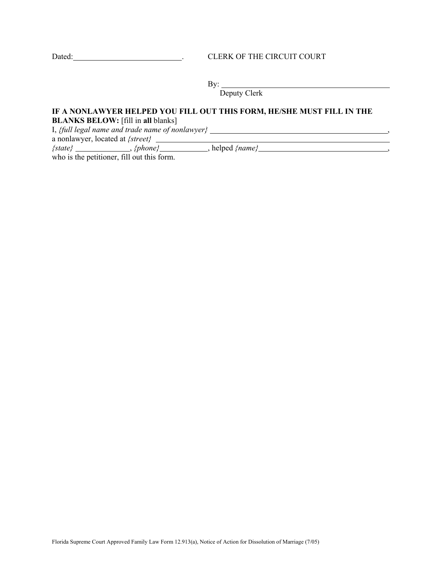CLERK OF THE CIRCUIT COURT

By:

By: Deputy Clerk

#### **IF A NONLAWYER HELPED YOU FILL OUT THIS FORM, HE/SHE MUST FILL IN THE BLANKS BELOW:** [fill in **all** blanks] I, *{full legal name and trade name of nonlawyer}* ,

a nonlawyer, located at *{street}*

*{state}* , *{phone}* , helped *{name}* ,

who is the petitioner, fill out this form.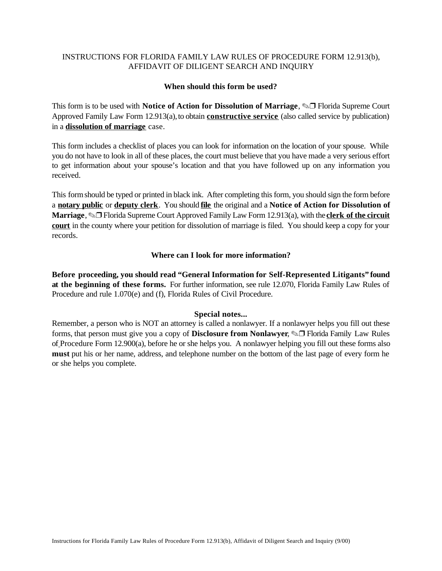#### INSTRUCTIONS FOR FLORIDA FAMILY LAW RULES OF PROCEDURE FORM 12.913(b), AFFIDAVIT OF DILIGENT SEARCH AND INQUIRY

#### **When should this form be used?**

This form is to be used with **Notice of Action for Dissolution of Marriage**,  $\mathcal{A}$  Florida Supreme Court Approved Family Law Form 12.913(a), to obtain **constructive service** (also called service by publication) in a **dissolution of marriage** case.

This form includes a checklist of places you can look for information on the location of your spouse. While you do not have to look in all of these places, the court must believe that you have made a very serious effort to get information about your spouse's location and that you have followed up on any information you received.

This form should be typed or printed in black ink. After completing this form, you should sign the form before a **notary public** or **deputy clerk**. You should **file** the original and a **Notice of Action for Dissolution of Marriage**,  $\text{I}$  Florida Supreme Court Approved Family Law Form 12.913(a), with the **clerk of the circuit court** in the county where your petition for dissolution of marriage is filed. You should keep a copy for your records.

#### **Where can I look for more information?**

**Before proceeding, you should read "General Information for Self-Represented Litigants" found at the beginning of these forms.** For further information, see rule 12.070, Florida Family Law Rules of Procedure and rule 1.070(e) and (f), Florida Rules of Civil Procedure.

#### **Special notes...**

Remember, a person who is NOT an attorney is called a nonlawyer. If a nonlawyer helps you fill out these forms, that person must give you a copy of **Disclosure from Nonlawyer**,  $\mathcal{L}$  Florida Family Law Rules of Procedure Form 12.900(a), before he or she helps you. A nonlawyer helping you fill out these forms also **must** put his or her name, address, and telephone number on the bottom of the last page of every form he or she helps you complete.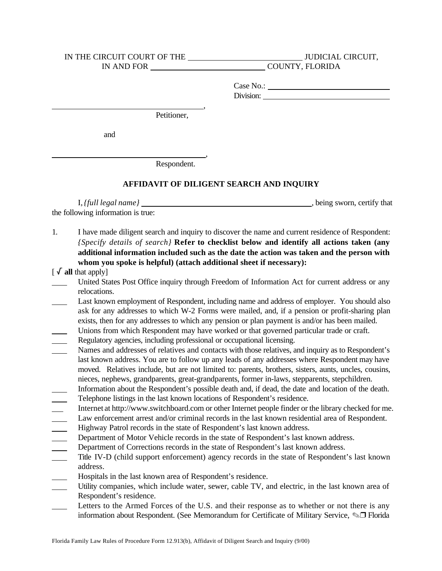## IN THE CIRCUIT COURT OF THE JUDICIAL CIRCUIT,

, which is a set of the set of the set of the set of the set of the set of the set of the set of the set of the set of the set of the set of the set of the set of the set of the set of the set of the set of the set of the

,

# IN AND FOR COUNTY, FLORIDA

Case No.: Division:

Petitioner,

and

Respondent.

#### **AFFIDAVIT OF DILIGENT SEARCH AND INQUIRY**

I, *{full legal name}* , being sworn, certify that the following information is true:

1. I have made diligent search and inquiry to discover the name and current residence of Respondent: *{Specify details of search}* **Refer to checklist below and identify all actions taken (any additional information included such as the date the action was taken and the person with whom you spoke is helpful) (attach additional sheet if necessary):**

#### $\lceil \sqrt{\text{ all that apply}} \rceil$

- United States Post Office inquiry through Freedom of Information Act for current address or any relocations.
- Last known employment of Respondent, including name and address of employer. You should also ask for any addresses to which W-2 Forms were mailed, and, if a pension or profit-sharing plan exists, then for any addresses to which any pension or plan payment is and/or has been mailed. Unions from which Respondent may have worked or that governed particular trade or craft.
- Regulatory agencies, including professional or occupational licensing.
- Names and addresses of relatives and contacts with those relatives, and inquiry as to Respondent's last known address. You are to follow up any leads of any addresses where Respondent may have moved. Relatives include, but are not limited to: parents, brothers, sisters, aunts, uncles, cousins, nieces, nephews, grandparents, great-grandparents, former in-laws, stepparents, stepchildren.
- Information about the Respondent's possible death and, if dead, the date and location of the death. Telephone listings in the last known locations of Respondent's residence.
- Internet at http://www.switchboard.com or other Internet people finder or the library checked for me.
- Law enforcement arrest and/or criminal records in the last known residential area of Respondent.
- Highway Patrol records in the state of Respondent's last known address.
- Department of Motor Vehicle records in the state of Respondent's last known address.
- Department of Corrections records in the state of Respondent's last known address.
- Title IV-D (child support enforcement) agency records in the state of Respondent's last known address.
- Hospitals in the last known area of Respondent's residence.
- Utility companies, which include water, sewer, cable TV, and electric, in the last known area of Respondent's residence.
- Letters to the Armed Forces of the U.S. and their response as to whether or not there is any information about Respondent. (See Memorandum for Certificate of Military Service,  $\mathcal{L}$  Florida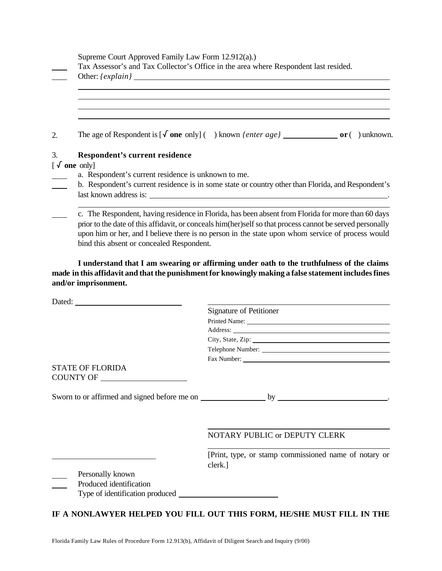|                                              | Supreme Court Approved Family Law Form 12.912(a).)                                           | Tax Assessor's and Tax Collector's Office in the area where Respondent last resided.                                                                                                                                                                                                                                 |
|----------------------------------------------|----------------------------------------------------------------------------------------------|----------------------------------------------------------------------------------------------------------------------------------------------------------------------------------------------------------------------------------------------------------------------------------------------------------------------|
|                                              |                                                                                              |                                                                                                                                                                                                                                                                                                                      |
|                                              |                                                                                              |                                                                                                                                                                                                                                                                                                                      |
| 2.                                           |                                                                                              |                                                                                                                                                                                                                                                                                                                      |
| 3.<br>$\lceil \sqrt{\text{one only}} \rceil$ | <b>Respondent's current residence</b><br>a. Respondent's current residence is unknown to me. | b. Respondent's current residence is in some state or country other than Florida, and Respondent's                                                                                                                                                                                                                   |
|                                              |                                                                                              |                                                                                                                                                                                                                                                                                                                      |
|                                              | bind this absent or concealed Respondent.                                                    | c. The Respondent, having residence in Florida, has been absent from Florida for more than 60 days<br>prior to the date of this affidavit, or conceals him(her)self so that process cannot be served personally<br>upon him or her, and I believe there is no person in the state upon whom service of process would |
|                                              |                                                                                              |                                                                                                                                                                                                                                                                                                                      |
|                                              | and/or imprisonment.                                                                         | I understand that I am swearing or affirming under oath to the truthfulness of the claims<br>made in this affidavit and that the punishment for knowingly making a false statement includes fines                                                                                                                    |
|                                              | Dated: <u>Dated:</u>                                                                         |                                                                                                                                                                                                                                                                                                                      |
|                                              |                                                                                              | <b>Signature of Petitioner</b>                                                                                                                                                                                                                                                                                       |
|                                              |                                                                                              |                                                                                                                                                                                                                                                                                                                      |
|                                              |                                                                                              |                                                                                                                                                                                                                                                                                                                      |
|                                              |                                                                                              |                                                                                                                                                                                                                                                                                                                      |
|                                              |                                                                                              |                                                                                                                                                                                                                                                                                                                      |
| <b>COUNTY OF</b>                             | <b>STATE OF FLORIDA</b>                                                                      |                                                                                                                                                                                                                                                                                                                      |
|                                              |                                                                                              |                                                                                                                                                                                                                                                                                                                      |
|                                              |                                                                                              |                                                                                                                                                                                                                                                                                                                      |
|                                              |                                                                                              | NOTARY PUBLIC or DEPUTY CLERK                                                                                                                                                                                                                                                                                        |
|                                              |                                                                                              | [Print, type, or stamp commissioned name of notary or<br>clerk.]                                                                                                                                                                                                                                                     |
|                                              | Personally known                                                                             |                                                                                                                                                                                                                                                                                                                      |
|                                              | Produced identification                                                                      |                                                                                                                                                                                                                                                                                                                      |

### **IF A NONLAWYER HELPED YOU FILL OUT THIS FORM, HE/SHE MUST FILL IN THE**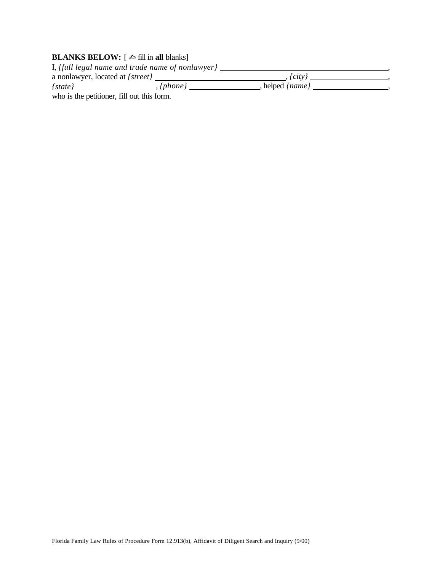### **BLANKS BELOW:** [ $\triangle$  fill in **all** blanks]

I, *{full legal name and trade name of nonlawyer}* , a nonlawyer, located at *{street}* , *{city}* , *{state}* , *{phone}* , helped *{name}* ,

who is the petitioner, fill out this form.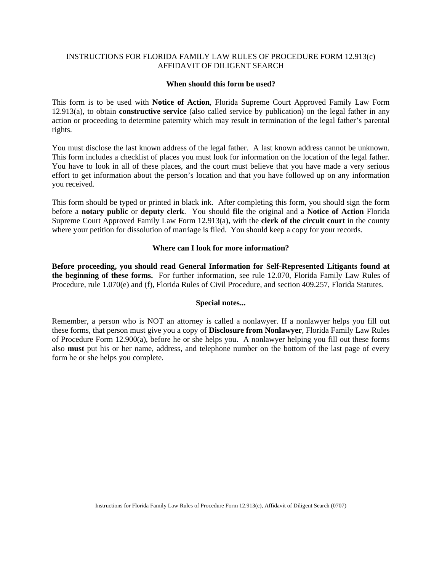#### INSTRUCTIONS FOR FLORIDA FAMILY LAW RULES OF PROCEDURE FORM 12.913(c) AFFIDAVIT OF DILIGENT SEARCH

#### **When should this form be used?**

This form is to be used with **Notice of Action**, Florida Supreme Court Approved Family Law Form 12.913(a), to obtain **constructive service** (also called service by publication) on the legal father in any action or proceeding to determine paternity which may result in termination of the legal father's parental rights.

You must disclose the last known address of the legal father. A last known address cannot be unknown. This form includes a checklist of places you must look for information on the location of the legal father. You have to look in all of these places, and the court must believe that you have made a very serious effort to get information about the person's location and that you have followed up on any information you received.

This form should be typed or printed in black ink. After completing this form, you should sign the form before a **notary public** or **deputy clerk**. You should **file** the original and a **Notice of Action** Florida Supreme Court Approved Family Law Form 12.913(a), with the **clerk of the circuit court** in the county where your petition for dissolution of marriage is filed. You should keep a copy for your records.

#### **Where can I look for more information?**

**Before proceeding, you should read General Information for Self-Represented Litigants found at the beginning of these forms.** For further information, see rule 12.070, Florida Family Law Rules of Procedure, rule 1.070(e) and (f), Florida Rules of Civil Procedure, and section 409.257, Florida Statutes.

#### **Special notes...**

Remember, a person who is NOT an attorney is called a nonlawyer. If a nonlawyer helps you fill out these forms, that person must give you a copy of **Disclosure from Nonlawyer**, Florida Family Law Rules of Procedure Form 12.900(a), before he or she helps you. A nonlawyer helping you fill out these forms also **must** put his or her name, address, and telephone number on the bottom of the last page of every form he or she helps you complete.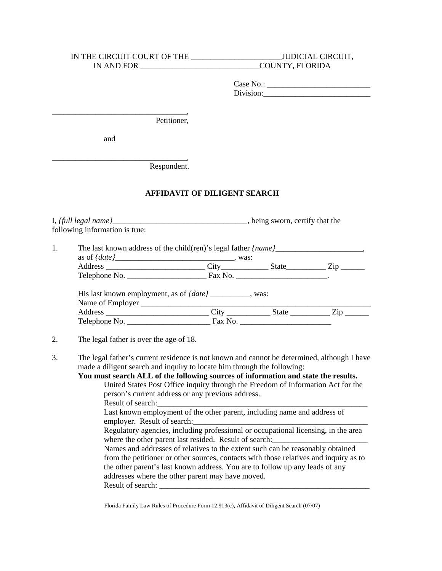#### IN THE CIRCUIT COURT OF THE \_\_\_\_\_\_\_\_\_\_\_\_\_\_\_\_\_\_\_\_\_\_\_JUDICIAL CIRCUIT, IN AND FOR COUNTY, FLORIDA

 Case No.: \_\_\_\_\_\_\_\_\_\_\_\_\_\_\_\_\_\_\_\_\_\_\_\_\_\_ Division:

Petitioner,

and

\_\_\_\_\_\_\_\_\_\_\_\_\_\_\_\_\_\_\_\_\_\_\_\_\_\_\_\_\_\_\_\_\_\_,

\_\_\_\_\_\_\_\_\_\_\_\_\_\_\_\_\_\_\_\_\_\_\_\_\_\_\_\_\_\_\_\_\_\_,

Respondent.

#### **AFFIDAVIT OF DILIGENT SEARCH**

I, *{full legal name}\_\_\_\_\_\_\_\_\_\_\_\_\_\_\_\_\_\_\_\_\_\_\_\_\_\_\_\_\_\_\_\_\_\_*, being sworn, certify that the following information is true:

| His last known employment, as of <i>{date}</i> __________, was: |  |  |  |
|-----------------------------------------------------------------|--|--|--|
|                                                                 |  |  |  |

- 2. The legal father is over the age of 18.
- 3. The legal father's current residence is not known and cannot be determined, although I have made a diligent search and inquiry to locate him through the following:

**You must search ALL of the following sources of information and state the results.** United States Post Office inquiry through the Freedom of Information Act for the person's current address or any previous address.

Result of search:

 Last known employment of the other parent, including name and address of employer. Result of search:

 Regulatory agencies, including professional or occupational licensing, in the area where the other parent last resided. Result of search:

 Names and addresses of relatives to the extent such can be reasonably obtained from the petitioner or other sources, contacts with those relatives and inquiry as to the other parent's last known address. You are to follow up any leads of any addresses where the other parent may have moved. Result of search:

Florida Family Law Rules of Procedure Form 12.913(c), Affidavit of Diligent Search (07/07)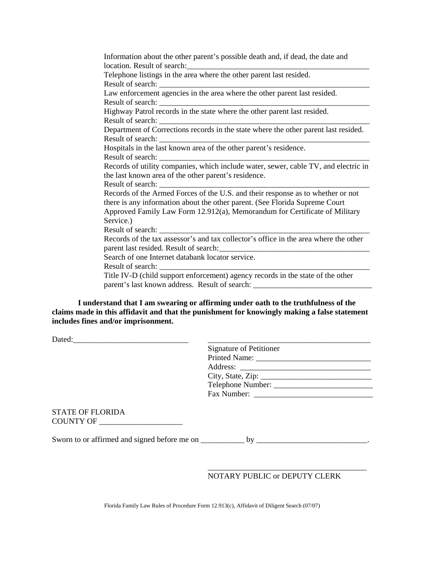| Information about the other parent's possible death and, if dead, the date and       |
|--------------------------------------------------------------------------------------|
| location. Result of search:                                                          |
| Telephone listings in the area where the other parent last resided.                  |
|                                                                                      |
| Law enforcement agencies in the area where the other parent last resided.            |
|                                                                                      |
| Highway Patrol records in the state where the other parent last resided.             |
| Result of search:                                                                    |
| Department of Corrections records in the state where the other parent last resided.  |
|                                                                                      |
| Hospitals in the last known area of the other parent's residence.                    |
|                                                                                      |
| Records of utility companies, which include water, sewer, cable TV, and electric in  |
| the last known area of the other parent's residence.                                 |
|                                                                                      |
| Records of the Armed Forces of the U.S. and their response as to whether or not      |
| there is any information about the other parent. (See Florida Supreme Court          |
| Approved Family Law Form 12.912(a), Memorandum for Certificate of Military           |
| Service.)                                                                            |
|                                                                                      |
| Records of the tax assessor's and tax collector's office in the area where the other |
|                                                                                      |
| Search of one Internet databank locator service.                                     |
| Result of search:                                                                    |
| Title IV-D (child support enforcement) agency records in the state of the other      |
| parent's last known address. Result of search:                                       |

**I understand that I am swearing or affirming under oath to the truthfulness of the claims made in this affidavit and that the punishment for knowingly making a false statement includes fines and/or imprisonment.**

| Dated: |                                |  |
|--------|--------------------------------|--|
|        | <b>Signature of Petitioner</b> |  |
|        |                                |  |
|        |                                |  |
|        |                                |  |
|        |                                |  |
|        | Fax Number:                    |  |
|        |                                |  |

#### STATE OF FLORIDA COUNTY OF \_\_\_\_\_\_\_\_\_\_\_\_\_\_\_\_\_\_\_\_\_

Sworn to or affirmed and signed before me on \_\_\_\_\_\_\_\_\_\_\_ by \_\_\_\_\_\_\_\_\_\_\_\_\_\_\_\_\_\_\_\_\_\_\_\_\_\_\_\_.

#### NOTARY PUBLIC or DEPUTY CLERK

Florida Family Law Rules of Procedure Form 12.913(c), Affidavit of Diligent Search (07/07)

 $\overline{\phantom{a}}$  , and the contract of the contract of the contract of the contract of the contract of the contract of the contract of the contract of the contract of the contract of the contract of the contract of the contrac